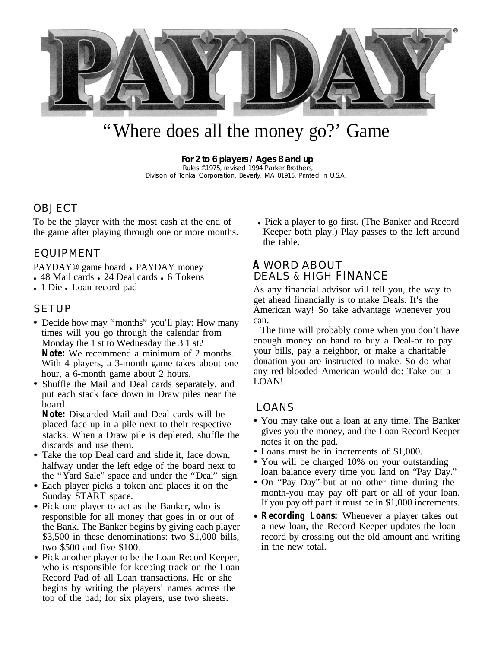

# "Where does all the money go?' Game

**For 2 to 6 players / Ages 8 and up** Rules ©1975, revised 1994 Parker Brothers, Division of Tonka Corporation, Beverly, MA 01915. Printed in U.S.A.

### **OBJECT**

To be the player with the most cash at the end of the game after playing through one or more months.

# EQUIPMENT

PAYDAY<sup>®</sup> game board • PAYDAY money

- 48 Mail cards 24 Deal cards 6 Tokens
- 1 Die Loan record pad

### **SETUP**

- Decide how may "months" you'll play: How many times will you go through the calendar from Monday the 1 st to Wednesday the 3 1 st? **Note:** We recommend a minimum of 2 months. With 4 players, a 3-month game takes about one hour, a 6-month game about 2 hours.
- Shuffle the Mail and Deal cards separately, and put each stack face down in Draw piles near the board.
- **Note:** Discarded Mail and Deal cards will be placed face up in a pile next to their respective stacks. When a Draw pile is depleted, shuffle the discards and use them.
- Take the top Deal card and slide it, face down, halfway under the left edge of the board next to the "Yard Sale" space and under the "Deal" sign.
- Each player picks a token and places it on the Sunday START space.
- Pick one player to act as the Banker, who is responsible for all money that goes in or out of the Bank. The Banker begins by giving each player \$3,500 in these denominations: two \$1,000 bills, two \$500 and five \$100.
- Pick another player to be the Loan Record Keeper, who is responsible for keeping track on the Loan Record Pad of all Loan transactions. He or she begins by writing the players' names across the top of the pad; for six players, use two sheets.

• Pick a player to go first. (The Banker and Record Keeper both play.) Play passes to the left around the table.

# **A** WORD ABOUT DEALS & HIGH FINANCE

As any financial advisor will tell you, the way to get ahead financially is to make Deals. It's the American way! So take advantage whenever you can.

The time will probably come when you don't have enough money on hand to buy a Deal-or to pay your bills, pay a neighbor, or make a charitable donation you are instructed to make. So do what any red-blooded American would do: Take out a LOAN!

### LOANS

- You may take out a loan at any time. The Banker gives you the money, and the Loan Record Keeper notes it on the pad.
- Loans must be in increments of \$1,000.
- You will be charged 10% on your outstanding loan balance every time you land on "Pay Day."
- On "Pay Day"-but at no other time during the month-you may pay off part or all of your loan. If you pay off part it must be in \$1,000 increments.
- **Recording Loans:** Whenever a player takes out a new loan, the Record Keeper updates the loan record by crossing out the old amount and writing in the new total.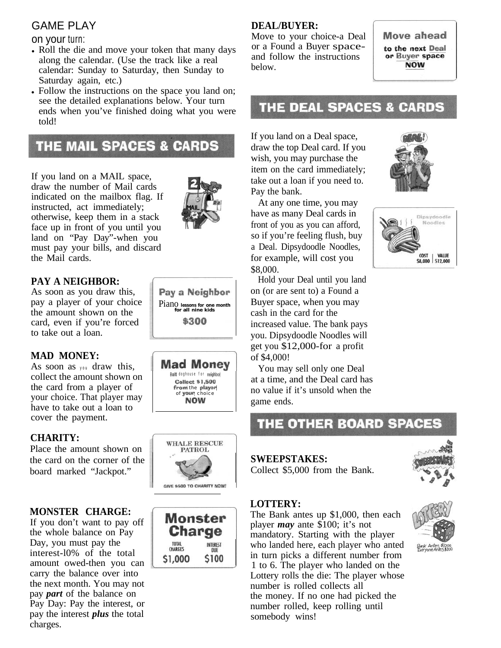# GAME PLAY

### on your turn:

- Roll the die and move your token that many days along the calendar. (Use the track like a real calendar: Sunday to Saturday, then Sunday to Saturday again, etc.)
- Follow the instructions on the space you land on; see the detailed explanations below. Your turn ends when you've finished doing what you were told!

# **THE MAIL SPACES & CARDS**

If you land on a MAIL space, draw the number of Mail cards indicated on the mailbox flag. If instructed, act immediately; otherwise, keep them in a stack face up in front of you until you land on "Pay Day"-when you must pay your bills, and discard the Mail cards.



# **PAY A NEIGHBOR:**

As soon as you draw this, pay a player of your choice Piano **lessons** for one month the amount shown on the **formulation** the **formulation**  $ext{card}$  **\$300** card, even if you're forced to take out a loan.

### **MAD MONEY:**

As soon as you draw this, collect the amount shown on the card from a player of your choice. That player may have to take out a loan to cover the payment.

### **CHARITY:**

Place the amount shown on the card on the corner of the board marked "Jackpot."

### **MONSTER CHARGE:**

If you don't want to pay off the whole balance on Pay Day, you must pay the interest-l0% of the total amount owed-then you can carry the balance over into the next month. You may not pay *part* of the balance on Pay Day: Pay the interest, or pay the interest *plus* the total charges.









### **DEAL/BUYER:**

Move to your choice-a Deal or a Found a Buyer spaceand follow the instructions below.

Move ahead to the next Deal or Buyer space **NOW** 

# **THE DEAL SPACES & CARDS**

If you land on a Deal space, draw the top Deal card. If you wish, you may purchase the item on the card immediately; take out a loan if you need to. Pay the bank.

At any one time, you may have as many Deal cards in front of you as you can afford, so if you're feeling flush, buy a Deal. Dipsydoodle Noodles, for example, will cost you \$8,000.

Hold your Deal until you land on (or are sent to) a Found a Buyer space, when you may cash in the card for the increased value. The bank pays you. Dipsydoodle Noodles will get you \$12,000-for a profit of \$4,000!

You may sell only one Deal at a time, and the Deal card has no value if it's unsold when the game ends.



### **SWEEPSTAKES:**

Collect \$5,000 from the Bank.

### **LOTTERY:**

The Bank antes up \$1,000, then each player *may* ante \$100; it's not mandatory. Starting with the player who landed here, each player who anted in turn picks a different number from 1 to 6. The player who landed on the Lottery rolls the die: The player whose number is rolled collects all the money. If no one had picked the number rolled, keep rolling until somebody wins!